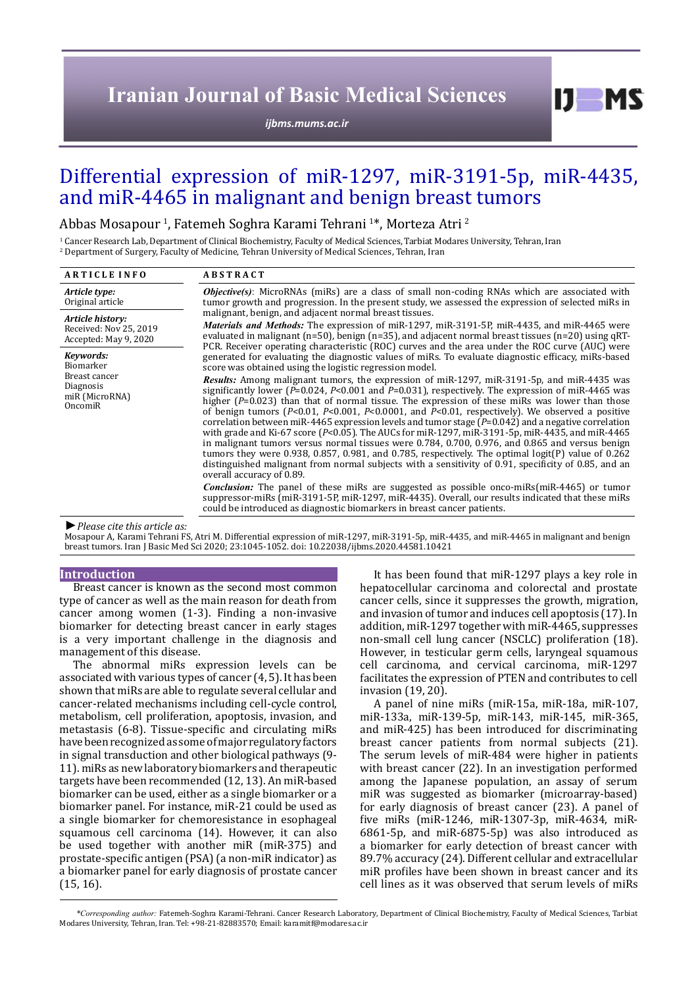# **Iranian Journal of Basic Medical Sciences**

*[ijbms.mums.ac.ir](http://ijbms.mums.ac.ir)*

# Differential expression of miR-1297, miR-3191-5p, miR-4435, and miR-4465 in malignant and benign breast tumors

Abbas Mosapour <sup>1</sup>, Fatemeh Soghra Karami Tehrani <sup>1</sup>\*, Morteza Atri <sup>2</sup>

<sup>1</sup> Cancer Research Lab, Department of Clinical Biochemistry, Faculty of Medical Sciences, Tarbiat Modares University, Tehran, Iran 2 Department of Surgery, Faculty of Medicine, Tehran University of Medical Sciences, Tehran, Iran

| <b>ARTICLE INFO</b>                                                               | <b>ABSTRACT</b>                                                                                                                                                                                                                                                                                                                                                                                                                                                                                                                                                                                                                                                                                                                                                                                                                                                                                                                                                                                   |  |  |
|-----------------------------------------------------------------------------------|---------------------------------------------------------------------------------------------------------------------------------------------------------------------------------------------------------------------------------------------------------------------------------------------------------------------------------------------------------------------------------------------------------------------------------------------------------------------------------------------------------------------------------------------------------------------------------------------------------------------------------------------------------------------------------------------------------------------------------------------------------------------------------------------------------------------------------------------------------------------------------------------------------------------------------------------------------------------------------------------------|--|--|
| Article type:<br>Original article                                                 | <b><i>Objective(s)</i></b> : MicroRNAs (miRs) are a class of small non-coding RNAs which are associated with<br>tumor growth and progression. In the present study, we assessed the expression of selected miRs in                                                                                                                                                                                                                                                                                                                                                                                                                                                                                                                                                                                                                                                                                                                                                                                |  |  |
| Article history:<br>Received: Nov 25, 2019<br>Accepted: May 9, 2020               | malignant, benign, and adjacent normal breast tissues.<br><i>Materials and Methods:</i> The expression of miR-1297, miR-3191-5P, miR-4435, and miR-4465 were<br>evaluated in malignant ( $n=50$ ), benign ( $n=35$ ), and adjacent normal breast tissues ( $n=20$ ) using qRT-<br>PCR. Receiver operating characteristic (ROC) curves and the area under the ROC curve (AUC) were                                                                                                                                                                                                                                                                                                                                                                                                                                                                                                                                                                                                                 |  |  |
| Kevwords:<br>Biomarker<br>Breast cancer<br>Diagnosis<br>miR (MicroRNA)<br>OncomiR | generated for evaluating the diagnostic values of miRs. To evaluate diagnostic efficacy, miRs-based<br>score was obtained using the logistic regression model.                                                                                                                                                                                                                                                                                                                                                                                                                                                                                                                                                                                                                                                                                                                                                                                                                                    |  |  |
|                                                                                   | <b>Results:</b> Among malignant tumors, the expression of miR-1297, miR-3191-5p, and miR-4435 was<br>significantly lower ( $P=0.024$ , $P<0.001$ and $P=0.031$ ), respectively. The expression of miR-4465 was<br>higher $(P=0.023)$ than that of normal tissue. The expression of these miRs was lower than those<br>of benign tumors ( $P<0.01$ , $P<0.001$ , $P<0.0001$ , and $P<0.01$ , respectively). We observed a positive<br>correlation between miR-4465 expression levels and tumor stage $(P=0.042)$ and a negative correlation<br>with grade and Ki-67 score ( $P<0.05$ ). The AUCs for miR-1297, miR-3191-5p, miR-4435, and miR-4465<br>in malignant tumors versus normal tissues were 0.784, 0.700, 0.976, and 0.865 and versus benign<br>tumors they were 0.938, 0.857, 0.981, and 0.785, respectively. The optimal logit(P) value of $0.262$<br>distinguished malignant from normal subjects with a sensitivity of 0.91, specificity of 0.85, and an<br>overall accuracy of 0.89. |  |  |
|                                                                                   | <b>Conclusion:</b> The panel of these miRs are suggested as possible onco-miRs(miR-4465) or tumor<br>suppressor-miRs (miR-3191-5P, miR-1297, miR-4435). Overall, our results indicated that these miRs<br>could be introduced as diagnostic biomarkers in breast cancer patients.                                                                                                                                                                                                                                                                                                                                                                                                                                                                                                                                                                                                                                                                                                                 |  |  |

*►Please cite this article as:*

Mosapour A, Karami Tehrani FS, Atri M. Differential expression of miR-1297, miR-3191-5p, miR-4435, and miR-4465 in malignant and benign breast tumors. Iran J Basic Med Sci 2020; 23:1045-1052. doi: 10.22038/ijbms.2020.44581.10421

### **Introduction**

Breast cancer is known as the second most common type of cancer as well as the main reason for death from cancer among women (1-3). Finding a non-invasive biomarker for detecting breast cancer in early stages is a very important challenge in the diagnosis and management of this disease.

The abnormal miRs expression levels can be associated with various types of cancer (4, 5). It has been shown that miRs are able to regulate several cellular and cancer-related mechanisms including cell-cycle control, metabolism, cell proliferation, apoptosis, invasion, and metastasis (6-8). Tissue-specific and circulating miRs have been recognized as some of major regulatory factors in signal transduction and other biological pathways (9- 11). miRs as new laboratory biomarkers and therapeutic targets have been recommended (12, 13). An miR-based biomarker can be used, either as a single biomarker or a biomarker panel. For instance, miR-21 could be used as a single biomarker for chemoresistance in esophageal squamous cell carcinoma (14). However, it can also be used together with another miR (miR-375) and prostate-specific antigen (PSA) (a non-miR indicator) as a biomarker panel for early diagnosis of prostate cancer (15, 16).

It has been found that miR-1297 plays a key role in hepatocellular carcinoma and colorectal and prostate cancer cells, since it suppresses the growth, migration, and invasion of tumor and induces cell apoptosis (17). In addition, miR-1297 together with miR-4465, suppresses non-small cell lung cancer (NSCLC) proliferation (18). However, in testicular germ cells, laryngeal squamous cell carcinoma, and cervical carcinoma, miR-1297 facilitates the expression of PTEN and contributes to cell invasion (19, 20).

 $D$  MS

A panel of nine miRs (miR-15a, miR-18a, miR-107, miR-133a, miR-139-5p, miR-143, miR-145, miR-365, and miR-425) has been introduced for discriminating breast cancer patients from normal subjects (21). The serum levels of miR-484 were higher in patients with breast cancer (22). In an investigation performed among the Japanese population, an assay of serum miR was suggested as biomarker (microarray-based) for early diagnosis of breast cancer (23). A panel of five miRs (miR-1246, miR-1307-3p, miR-4634, miR-6861-5p, and miR-6875-5p) was also introduced as a biomarker for early detection of breast cancer with 89.7% accuracy (24). Different cellular and extracellular miR profiles have been shown in breast cancer and its cell lines as it was observed that serum levels of miRs

*\*Corresponding author:* Fatemeh-Soghra Karami-Tehrani. Cancer Research Laboratory, Department of Clinical Biochemistry, Faculty of Medical Sciences, Tarbiat Modares University, Tehran, Iran. Tel: +98-21-82883570; Email: karamitf@modares.ac.ir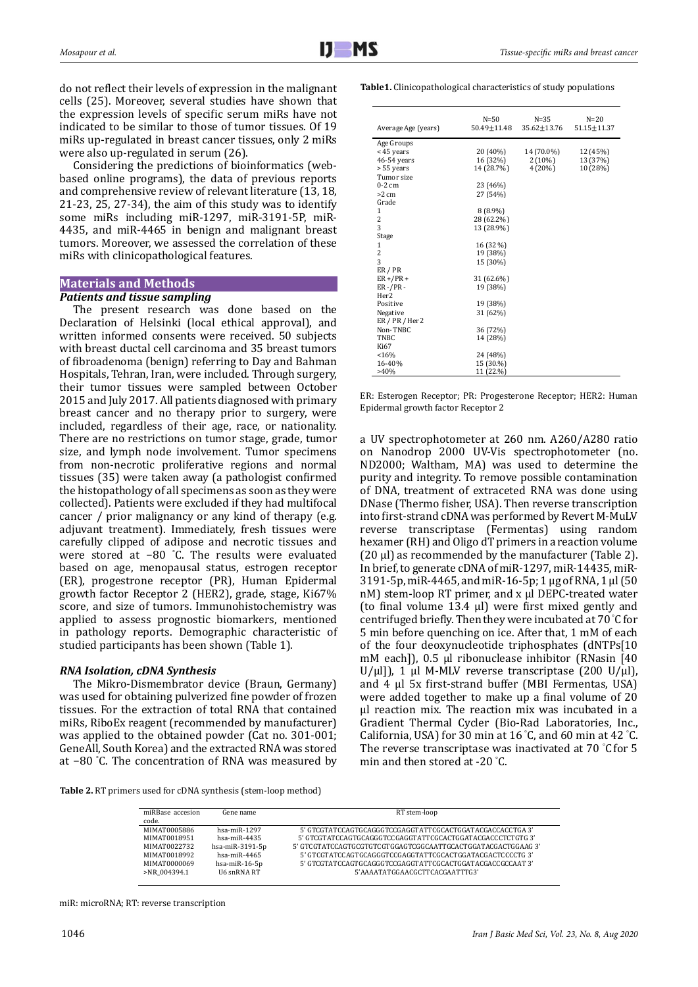do not reflect their levels of expression in the malignant cells (25). Moreover, several studies have shown that the expression levels of specific serum miRs have not indicated to be similar to those of tumor tissues. Of 19 miRs up-regulated in breast cancer tissues, only 2 miRs were also up-regulated in serum (26).

Considering the predictions of bioinformatics (webbased online programs), the data of previous reports and comprehensive review of relevant literature (13, 18, 21-23, 25, 27-34), the aim of this study was to identify some miRs including miR-1297, miR-3191-5P, miR-4435, and miR-4465 in benign and malignant breast tumors. Moreover, we assessed the correlation of these miRs with clinicopathological features.

# **Materials and Methods**

# *Patients and tissue sampling*

The present research was done based on the Declaration of Helsinki (local ethical approval), and written informed consents were received. 50 subjects with breast ductal cell carcinoma and 35 breast tumors of fibroadenoma (benign) referring to Day and Bahman Hospitals, Tehran, Iran, were included. Through surgery, their tumor tissues were sampled between October 2015 and July 2017. All patients diagnosed with primary breast cancer and no therapy prior to surgery, were included, regardless of their age, race, or nationality. There are no restrictions on tumor stage, grade, tumor size, and lymph node involvement. Tumor specimens from non-necrotic proliferative regions and normal tissues (35) were taken away (a pathologist confirmed the histopathology of all specimens as soon as they were collected). Patients were excluded if they had multifocal cancer / prior malignancy or any kind of therapy (e.g. adjuvant treatment). Immediately, fresh tissues were carefully clipped of adipose and necrotic tissues and were stored at −80 ° C. The results were evaluated based on age, menopausal status, estrogen receptor (ER), progestrone receptor (PR), Human Epidermal growth factor Receptor 2 (HER2), grade, stage, Ki67% score, and size of tumors. Immunohistochemistry was applied to assess prognostic biomarkers, mentioned in pathology reports. Demographic characteristic of studied participants has been shown (Table 1).

# *RNA Isolation, cDNA Synthesis*

The Mikro-Dismembrator device (Braun, Germany) was used for obtaining pulverized fine powder of frozen tissues. For the extraction of total RNA that contained miRs, RiboEx reagent (recommended by manufacturer) was applied to the obtained powder (Cat no. 301-001; GeneAll, South Korea) and the extracted RNA was stored at −80 ° C. The concentration of RNA was measured by

**Table 2.** RT primers used for cDNA synthesis (stem-loop method)

| miRBase accesion<br>code. | Gene name          | RT stem-loop                                                 |
|---------------------------|--------------------|--------------------------------------------------------------|
| MIMAT0005886              | $hsa$ -mi $R-1297$ | 5' GTCGTATCCAGTGCAGGGTCCGAGGTATTCGCACTGGATACGACCACCTGA 3'    |
| MIMAT0018951              | $hsa$ -mi $R-4435$ | 5' GTCGTATCCAGTGCAGGGTCCGAGGTATTCGCACTGGATACGACCCTCTGTG 3'   |
| MIMAT0022732              | hsa-mi $R-3191-5p$ | 5' GTCGTATCCAGTGCGTGTCGTGGAGTCGGCAATTGCACTGGATACGACTGGAAG 3' |
| MIMAT0018992              | $hsa$ -mi $R-4465$ | 5' GTCGTATCCAGTGCAGGGTCCGAGGTATTCGCACTGGATACGACTCCCCTG 3'    |
| MIMAT0000069              | hsa-mi $R-16-5p$   | 5' GTCGTATCCAGTGCAGGGTCCGAGGTATTCGCACTGGATACGACCGCCAAT 3'    |
| >NR 004394.1              | U6 snRNA RT        | 5'AAAATATGGAACGCTTCACGAATTTG3'                               |

miR: microRNA; RT: reverse transcription

| Average Age (years) | $N = 50$<br>50.49+11.48 | $N = 35$<br>35.62±13.76 | $N=20$<br>$51.15 \pm 11.37$ |
|---------------------|-------------------------|-------------------------|-----------------------------|
| Age Groups          |                         |                         |                             |
| <45 vears           | 20 (40%)                | 14 (70.0%)              | 12 (45%)                    |
| 46-54 years         | 16 (32%)                | $2(10\%)$               | 13 (37%)                    |
| > 55 years          | 14 (28.7%)              | 4(20%)                  | 10 (28%)                    |
| Tumor size          |                         |                         |                             |
| $0-2$ cm            | 23 (46%)                |                         |                             |
| $>2$ cm             | 27 (54%)                |                         |                             |
| Grade               |                         |                         |                             |
| 1                   | $8(8.9\%)$              |                         |                             |
| 2                   | 28 (62.2%)              |                         |                             |
| 3                   | 13 (28.9%)              |                         |                             |
| Stage               |                         |                         |                             |
| 1                   | 16 (32 %)               |                         |                             |
| $\overline{c}$      | 19 (38%)                |                         |                             |
| 3                   | 15 (30%)                |                         |                             |
| ER / PR             |                         |                         |                             |
| $ER + / PR +$       | 31 (62.6%)              |                         |                             |
| $ER - / PR -$       | 19 (38%)                |                         |                             |
| Her <sub>2</sub>    |                         |                         |                             |
| Positive            | 19 (38%)                |                         |                             |
| Negative            | 31 (62%)                |                         |                             |
| ER / PR / Her2      |                         |                         |                             |
| Non-TNBC            | 36 (72%)                |                         |                             |
| TNBC                | 14 (28%)                |                         |                             |
| Ki67                |                         |                         |                             |
| < 16%               | 24 (48%)                |                         |                             |
| 16-40%              | 15 (30.%)               |                         |                             |
| $>40\%$             | 11 (22.%)               |                         |                             |

ER: Esterogen Receptor; PR: Progesterone Receptor; HER2: Human Epidermal growth factor Receptor 2

a UV spectrophotometer at 260 nm. A260/A280 ratio on Nanodrop 2000 UV-Vis spectrophotometer (no. ND2000; Waltham, MA) was used to determine the purity and integrity. To remove possible contamination of DNA, treatment of extraceted RNA was done using DNase (Thermo fisher, USA). Then reverse transcription into first-strand cDNA was performed by Revert M-MuLV reverse transcriptase (Fermentas) using random hexamer (RH) and Oligo dT primers in a reaction volume  $(20 \mu l)$  as recommended by the manufacturer (Table 2). In brief, to generate cDNA of miR-1297, miR-14435, miR-3191-5p, miR-4465, and miR-16-5p; 1 μg of RNA, 1 μl (50 nM) stem-loop RT primer, and x μl DEPC-treated water (to final volume 13.4 μl) were first mixed gently and centrifuged briefly. Then they were incubated at 70 ° C for 5 min before quenching on ice. After that, 1 mM of each of the four deoxynucleotide triphosphates (dNTPs[10 mM each]), 0.5 μl ribonuclease inhibitor (RNasin [40 U/μl]), 1 μl M-MLV reverse transcriptase (200 U/μl), and 4 μl 5x first-strand buffer (MBI Fermentas, USA) were added together to make up a final volume of 20 μl reaction mix. The reaction mix was incubated in a Gradient Thermal Cycler (Bio-Rad Laboratories, Inc., California, USA) for 30 min at 16 ° C, and 60 min at 42 ° C. The reverse transcriptase was inactivated at 70 ° C for 5 min and then stored at -20 ° C.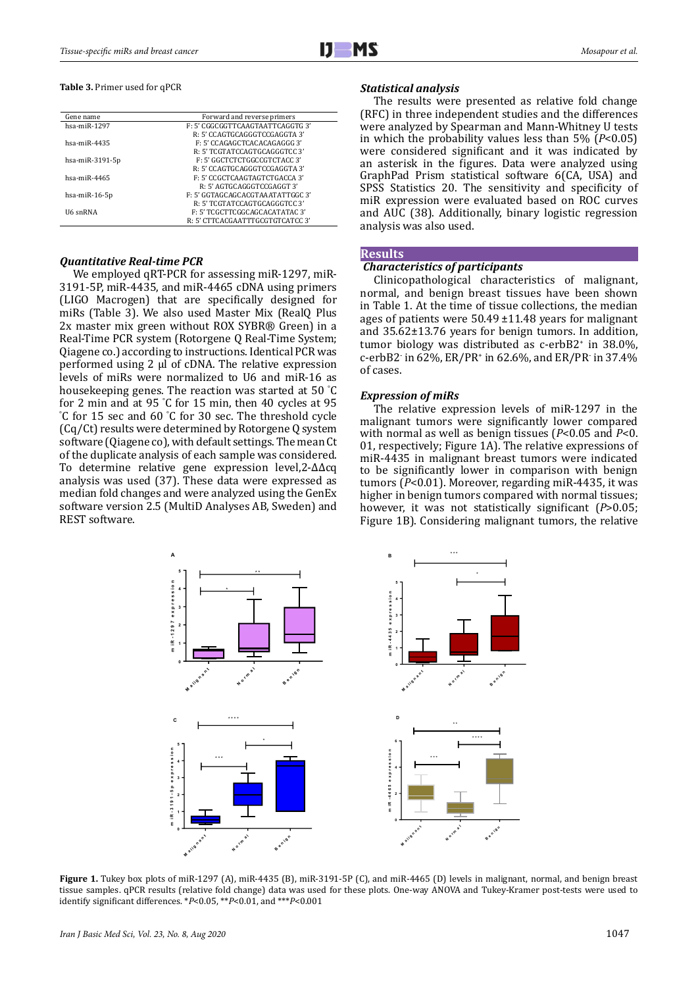### **Table 3.** Primer used for qPCR

| Gene name          | Forward and reverse primers      |  |  |
|--------------------|----------------------------------|--|--|
| hsa-miR-1297       | F: 5' CGGCGGTTCAAGTAATTCAGGTG 3' |  |  |
|                    | R: 5' CCAGTGCAGGGTCCGAGGTA 3'    |  |  |
| $hsa$ -mi $R-4435$ | F: 5' CCAGAGCTCACACAGAGGG 3'     |  |  |
|                    | R: 5' TCGTATCCAGTGCAGGGTCC 3'    |  |  |
| hsa-mi $R-3191-5p$ | F: 5' GGCTCTCTGGCCGTCTACC 3'     |  |  |
|                    | R: 5' CCAGTGCAGGGTCCGAGGTA 3'    |  |  |
| hsa-mi $R-4465$    | F: 5' CCGCTCAAGTAGTCTGACCA 3'    |  |  |
|                    | R: 5' AGTGCAGGGTCCGAGGT 3'       |  |  |
| hsa-mi $R-16-5p$   | F: 5' GGTAGCAGCACGTAAATATTGGC 3' |  |  |
|                    | R: 5' TCGTATCCAGTGCAGGGTCC 3'    |  |  |
| U6 snRNA           | F: 5' TCGCTTCGGCAGCACATATAC 3'   |  |  |
|                    | R: 5' CTTCACGAATTTGCGTGTCATCC 3' |  |  |
|                    |                                  |  |  |

# *Quantitative Real-time PCR*

We employed qRT-PCR for assessing miR-1297, miR-3191-5P, miR-4435, and miR-4465 cDNA using primers (LIGO Macrogen) that are specifically designed for miRs (Table 3). We also used Master Mix (RealQ Plus 2x master mix green without ROX SYBR® Green) in a Real-Time PCR system (Rotorgene Q Real-Time System; Qiagene co.) according to instructions. Identical PCR was performed using 2 μl of cDNA. The relative expression levels of miRs were normalized to U6 and miR-16 as housekeeping genes. The reaction was started at 50 ° C for 2 min and at 95 °C for 15 min, then 40 cycles at 95<br>°C for 15 sec and 60 °C for 30 sec. The threshold cycle C for 15 sec and 60 ° C for 30 sec. The threshold cycle (Cq/Ct) results were determined by Rotorgene Q system software (Qiagene co), with default settings. The mean Ct of the duplicate analysis of each sample was considered. To determine relative gene expression level,2-∆∆cq analysis was used (37). These data were expressed as median fold changes and were analyzed using the GenEx software version 2.5 (MultiD Analyses AB, Sweden) and REST software.

## *Statistical analysis*

The results were presented as relative fold change (RFC) in three independent studies and the differences were analyzed by Spearman and Mann-Whitney U tests in which the probability values less than 5% (*P*<0.05) were considered significant and it was indicated by an asterisk in the figures. Data were analyzed using GraphPad Prism statistical software 6(CA, USA) and SPSS Statistics 20. The sensitivity and specificity of miR expression were evaluated based on ROC curves and AUC (38). Additionally, binary logistic regression analysis was also used.

## **Results**

# *Characteristics of participants*

Clinicopathological characteristics of malignant, normal, and benign breast tissues have been shown in Table 1. At the time of tissue collections, the median ages of patients were 50.49 ±11.48 years for malignant and 35.62±13.76 years for benign tumors. In addition, tumor biology was distributed as c-erbB2<sup>+</sup> in 38.0%, c-erbB2- in 62%, ER/PR<sup>+</sup> in 62.6%, and ER/PR- in 37.4% of cases.

## *Expression of miRs*

The relative expression levels of miR-1297 in the malignant tumors were significantly lower compared with normal as well as benign tissues (*P*<0.05 and *P*<0. 01, respectively; Figure 1A). The relative expressions of miR-4435 in malignant breast tumors were indicated to be significantly lower in comparison with benign tumors (*P*<0.01). Moreover, regarding miR-4435, it was higher in benign tumors compared with normal tissues; however, it was not statistically significant (*P*>0.05; Figure 1B). Considering malignant tumors, the relative



**Figure 1.** Tukey box plots of miR-1297 (A), miR-4435 (B), miR-3191-5P (C), and miR-4465 (D) levels in malignant, normal, and benign breast tissue samples. qPCR results (relative fold change) data was used for these plots. One-way ANOVA and Tukey-Kramer post-tests were used to identify significant differences. \**P*<0.05, \*\**P*<0.01, and \*\*\**P*<0.001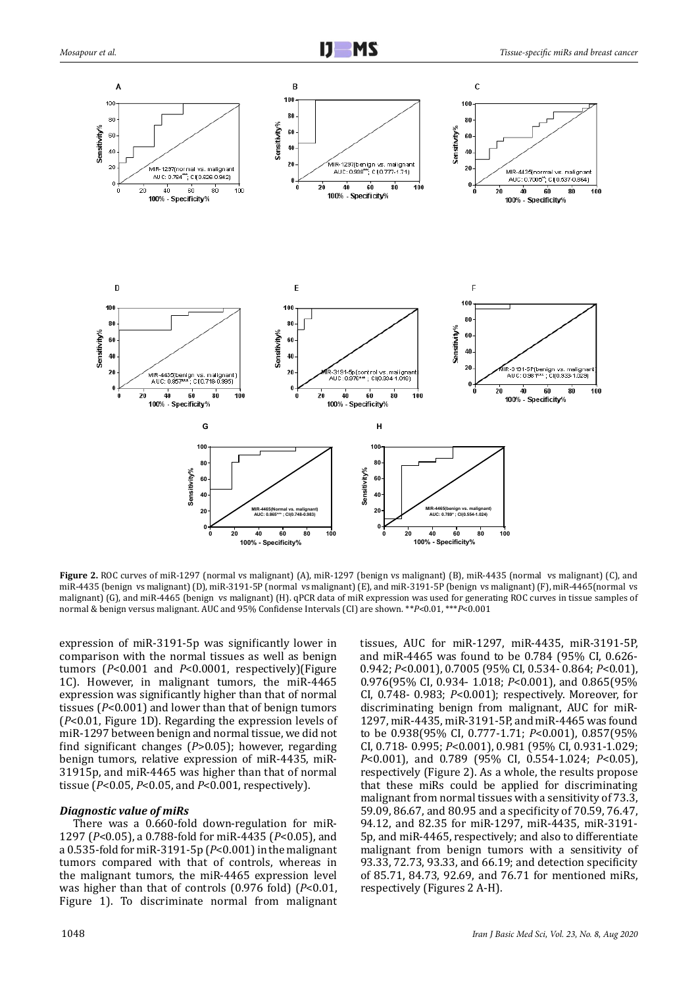

**Figure 2.** ROC curves of miR-1297 (normal vs malignant) (A), miR-1297 (benign vs malignant) (B), miR-4435 (normal vs malignant) (C), and miR-4435 (benign vs malignant) (D), miR-3191-5P (normal vs malignant) (E), and miR-3191-5P (benign vs malignant) (F), miR-4465(normal vs malignant) (G), and miR-4465 (benign vs malignant) (H). qPCR data of miR expression was used for generating ROC curves in tissue samples of normal & benign versus malignant. AUC and 95% Confidense Intervals (CI) are shown. \*\**P*<0.01, \*\*\**P*<0.001

expression of miR-3191-5p was significantly lower in comparison with the normal tissues as well as benign tumors (*P*<0.001 and *P*<0.0001, respectively)(Figure 1C). However, in malignant tumors, the miR-4465 expression was significantly higher than that of normal tissues (*P*<0.001) and lower than that of benign tumors (*P*<0.01, Figure 1D). Regarding the expression levels of miR-1297 between benign and normal tissue, we did not find significant changes (*P*>0.05); however, regarding benign tumors, relative expression of miR-4435, miR-31915p, and miR-4465 was higher than that of normal tissue (*P*<0.05, *P*<0.05, and *P*<0.001, respectively).

## *Diagnostic value of miRs*

There was a 0.660-fold down-regulation for miR-1297 (*P*<0.05), a 0.788-fold for miR-4435 (*P*<0.05), and a 0.535-fold for miR-3191-5p (*P*<0.001) in the malignant tumors compared with that of controls, whereas in the malignant tumors, the miR-4465 expression level was higher than that of controls (0.976 fold) (*P*<0.01, Figure 1). To discriminate normal from malignant

tissues, AUC for miR-1297, miR-4435, miR-3191-5P, and miR-4465 was found to be 0.784 (95% CI, 0.626- 0.942; *P*<0.001), 0.7005 (95% CI, 0.534- 0.864; *P*<0.01), 0.976(95% CI, 0.934- 1.018; *P*<0.001), and 0.865(95% CI, 0.748- 0.983; *P*<0.001); respectively. Moreover, for discriminating benign from malignant, AUC for miR-1297, miR-4435, miR-3191-5P, and miR-4465 was found to be 0.938(95% CI, 0.777-1.71; *P*<0.001), 0.857(95% CI, 0.718- 0.995; *P*<0.001), 0.981 (95% CI, 0.931-1.029; *P*<0.001), and 0.789 (95% CI, 0.554-1.024; *P*<0.05), respectively (Figure 2). As a whole, the results propose that these miRs could be applied for discriminating malignant from normal tissues with a sensitivity of 73.3, 59.09, 86.67, and 80.95 and a specificity of 70.59, 76.47, 94.12, and 82.35 for miR-1297, miR-4435, miR-3191- 5p, and miR-4465, respectively; and also to differentiate malignant from benign tumors with a sensitivity of 93.33, 72.73, 93.33, and 66.19; and detection specificity of 85.71, 84.73, 92.69, and 76.71 for mentioned miRs, respectively (Figures 2 A-H).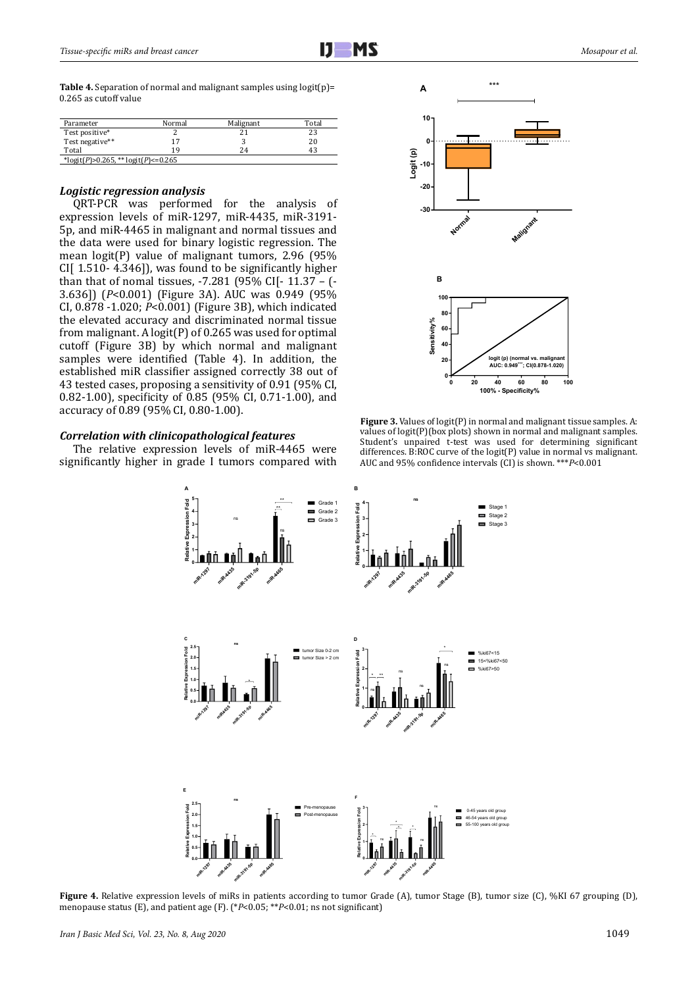**Table 4.** Separation of normal and malignant samples using logit(p)= 0.265 as cutoff value

| Parameter                           | Normal | Malignant | Total |
|-------------------------------------|--------|-----------|-------|
| Test positive*                      |        |           | 23    |
| Test negative**                     |        |           | 20    |
| Total                               | 19     | 24        | 43    |
| *logit(P)>0.265, ** logit(P)<=0.265 |        |           |       |

# *Logistic regression analysis*

QRT-PCR was performed for the analysis of expression levels of miR-1297, miR-4435, miR-3191- 5p, and miR-4465 in malignant and normal tissues and the data were used for binary logistic regression. The mean logit(P) value of malignant tumors, 2.96 (95% CI[ 1.510- 4.346]), was found to be significantly higher than that of nomal tissues, -7.281 (95% CI[- 11.37 – (- 3.636]) (*P*<0.001) (Figure 3A). AUC was 0.949 (95% CI, 0.878 -1.020; *P*<0.001) (Figure 3B), which indicated the elevated accuracy and discriminated normal tissue from malignant. A logit(P) of 0.265 was used for optimal cutoff (Figure 3B) by which normal and malignant samples were identified (Table 4). In addition, the established miR classifier assigned correctly 38 out of 43 tested cases, proposing a sensitivity of 0.91 (95% CI, 0.82-1.00), specificity of 0.85 (95% CI, 0.71-1.00), and accuracy of 0.89 (95% CI, 0.80-1.00).

## *Correlation with clinicopathological features*

The relative expression levels of miR-4465 were significantly higher in grade I tumors compared with



**Figure 3.** Values of logit(P) in normal and malignant tissue samples. A: values of logit(P)(box plots) shown in normal and malignant samples. Student's unpaired t-test was used for determining significant differences. B:ROC curve of the logit(P) value in normal vs malignant. AUC and 95% confidence intervals (CI) is shown. \*\*\**P*<0.001



**Figure 4.** Relative expression levels of miRs in patients according to tumor Grade (A), tumor Stage (B), tumor size (C), %KI 67 grouping (D), menopause status (E), and patient age (F). (\**P*<0.05; \*\**P*<0.01; ns not significant)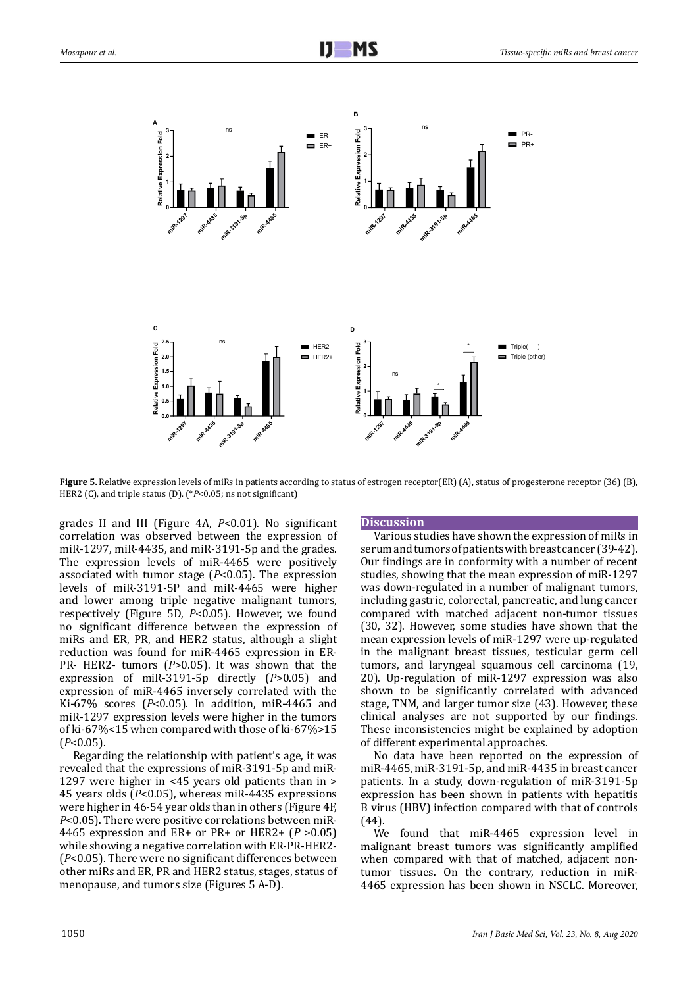

**Figure 5.** Relative expression levels of miRs in patients according to status of estrogen receptor(ER) (A), status of progesterone receptor (36) (B), HER2 (C), and triple status (D). (\**P*<0.05; ns not significant)

grades II and III (Figure 4A, *P*<0.01). No significant correlation was observed between the expression of miR-1297, miR-4435, and miR-3191-5p and the grades. The expression levels of miR-4465 were positively associated with tumor stage (*P*<0.05). The expression levels of miR-3191-5P and miR-4465 were higher and lower among triple negative malignant tumors, respectively (Figure 5D, *P*<0.05). However, we found no significant difference between the expression of miRs and ER, PR, and HER2 status, although a slight reduction was found for miR-4465 expression in ER-PR- HER2- tumors (*P*>0.05). It was shown that the expression of miR-3191-5p directly (*P*>0.05) and expression of miR-4465 inversely correlated with the Ki-67% scores (*P*<0.05). In addition, miR-4465 and miR-1297 expression levels were higher in the tumors of ki-67%<15 when compared with those of ki-67%>15 (*P*<0.05).

Regarding the relationship with patient's age, it was revealed that the expressions of miR-3191-5p and miR-1297 were higher in <45 years old patients than in > 45 years olds (*P*<0.05), whereas miR-4435 expressions were higher in 46-54 year olds than in others (Figure 4F, *P*<0.05). There were positive correlations between miR-4465 expression and ER+ or PR+ or HER2+ (*P* >0.05) while showing a negative correlation with ER-PR-HER2- (*P*<0.05). There were no significant differences between other miRs and ER, PR and HER2 status, stages, status of menopause, and tumors size (Figures 5 A-D).

### **Discussion**

Various studies have shown the expression of miRs in serum and tumors of patients with breast cancer (39-42). Our findings are in conformity with a number of recent studies, showing that the mean expression of miR-1297 was down-regulated in a number of malignant tumors, including gastric, colorectal, pancreatic, and lung cancer compared with matched adjacent non-tumor tissues (30, 32). However, some studies have shown that the mean expression levels of miR-1297 were up-regulated in the malignant breast tissues, testicular germ cell tumors, and laryngeal squamous cell carcinoma (19, 20). Up-regulation of miR-1297 expression was also shown to be significantly correlated with advanced stage, TNM, and larger tumor size (43). However, these clinical analyses are not supported by our findings. These inconsistencies might be explained by adoption of different experimental approaches.

No data have been reported on the expression of miR-4465, miR-3191-5p, and miR-4435 in breast cancer patients. In a study, down-regulation of miR-3191-5p expression has been shown in patients with hepatitis B virus (HBV) infection compared with that of controls (44).

We found that miR-4465 expression level in malignant breast tumors was significantly amplified when compared with that of matched, adjacent nontumor tissues. On the contrary, reduction in miR-4465 expression has been shown in NSCLC. Moreover,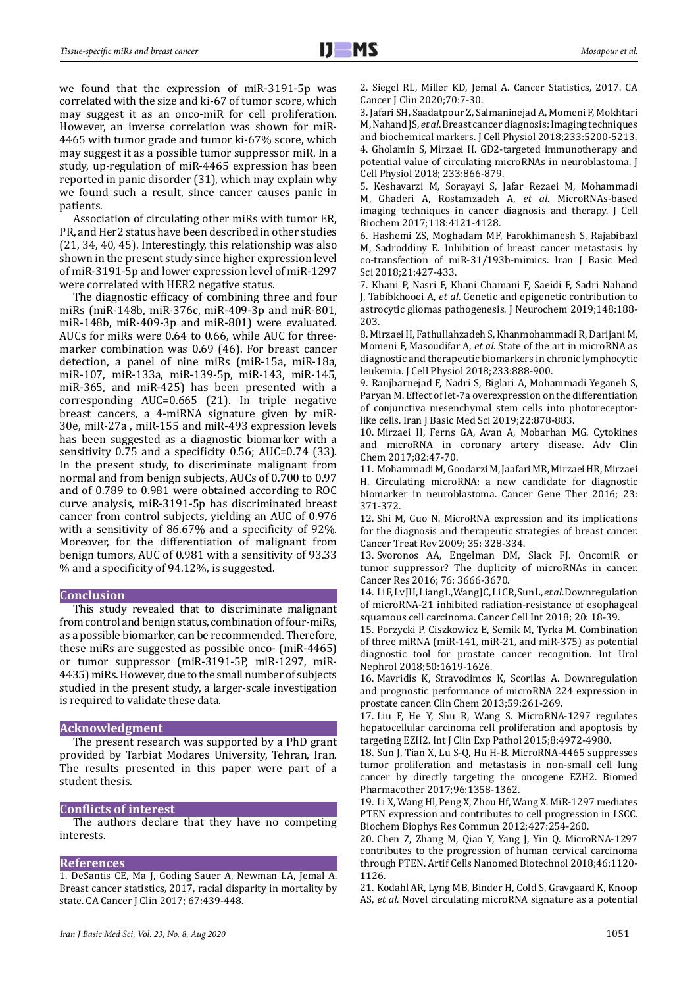we found that the expression of miR-3191-5p was correlated with the size and ki-67 of tumor score, which may suggest it as an onco-miR for cell proliferation. However, an inverse correlation was shown for miR-4465 with tumor grade and tumor ki-67% score, which may suggest it as a possible tumor suppressor miR. In a study, up-regulation of miR-4465 expression has been reported in panic disorder (31), which may explain why we found such a result, since cancer causes panic in patients.

Association of circulating other miRs with tumor ER, PR, and Her2 status have been described in other studies (21, 34, 40, 45). Interestingly, this relationship was also shown in the present study since higher expression level of miR-3191-5p and lower expression level of miR-1297 were correlated with HER2 negative status.

The diagnostic efficacy of combining three and four miRs (miR-148b, miR-376c, miR-409-3p and miR-801, miR-148b, miR-409-3p and miR-801) were evaluated. AUCs for miRs were 0.64 to 0.66, while AUC for threemarker combination was 0.69 (46). For breast cancer detection, a panel of nine miRs (miR-15a, miR-18a, miR-107, miR-133a, miR-139-5p, miR-143, miR-145, miR-365, and miR-425) has been presented with a corresponding AUC=0.665 (21). In triple negative breast cancers, a 4-miRNA signature given by miR-30e, miR-27a , miR-155 and miR-493 expression levels has been suggested as a diagnostic biomarker with a sensitivity 0.75 and a specificity 0.56; AUC=0.74 (33). In the present study, to discriminate malignant from normal and from benign subjects, AUCs of 0.700 to 0.97 and of 0.789 to 0.981 were obtained according to ROC curve analysis, miR-3191-5p has discriminated breast cancer from control subjects, yielding an AUC of 0.976 with a sensitivity of 86.67% and a specificity of 92%. Moreover, for the differentiation of malignant from benign tumors, AUC of 0.981 with a sensitivity of 93.33 % and a specificity of 94.12%, is suggested.

## **Conclusion**

This study revealed that to discriminate malignant from control and benign status, combination of four-miRs, as a possible biomarker, can be recommended. Therefore, these miRs are suggested as possible onco- (miR-4465) or tumor suppressor (miR-3191-5P, miR-1297, miR-4435) miRs. However, due to the small number of subjects studied in the present study, a larger-scale investigation is required to validate these data.

#### **Acknowledgment**

The present research was supported by a PhD grant provided by Tarbiat Modares University, Tehran, Iran. The results presented in this paper were part of a student thesis.

### **Conflicts of interest**

The authors declare that they have no competing interests.

#### **References**

1. DeSantis CE, Ma J, Goding Sauer A, Newman LA, Jemal A. Breast cancer statistics, 2017, racial disparity in mortality by state. CA Cancer J Clin 2017; 67:439-448.

2. Siegel RL, Miller KD, Jemal A. Cancer Statistics, 2017. CA Cancer J Clin 2020;70:7-30.

3. Jafari SH, Saadatpour Z, Salmaninejad A, Momeni F, Mokhtari M, Nahand JS, *et al*. Breast cancer diagnosis: Imaging techniques and biochemical markers. J Cell Physiol 2018;233:5200-5213. 4. Gholamin S, Mirzaei H. GD2-targeted immunotherapy and potential value of circulating microRNAs in neuroblastoma. J Cell Physiol 2018; 233:866-879.

5. Keshavarzi M, Sorayayi S, Jafar Rezaei M, Mohammadi M, Ghaderi A, Rostamzadeh A, *et al*. MicroRNAs-based imaging techniques in cancer diagnosis and therapy. J Cell Biochem 2017;118:4121-4128.

6. Hashemi ZS, Moghadam MF, Farokhimanesh S, Rajabibazl M, Sadroddiny E. Inhibition of breast cancer metastasis by co-transfection of miR-31/193b-mimics. Iran J Basic Med Sci 2018;21:427-433.

7. Khani P, Nasri F, Khani Chamani F, Saeidi F, Sadri Nahand J, Tabibkhooei A, *et al*. Genetic and epigenetic contribution to astrocytic gliomas pathogenesis. J Neurochem 2019;148:188- 203.

8. Mirzaei H, Fathullahzadeh S, Khanmohammadi R, Darijani M, Momeni F, Masoudifar A, *et al*. State of the art in microRNA as diagnostic and therapeutic biomarkers in chronic lymphocytic leukemia. J Cell Physiol 2018;233:888-900.

9. Ranjbarnejad F, Nadri S, Biglari A, Mohammadi Yeganeh S, Paryan M. Effect of let-7a overexpression on the differentiation of conjunctiva mesenchymal stem cells into photoreceptorlike cells. Iran J Basic Med Sci 2019;22:878-883.

10. Mirzaei H, Ferns GA, Avan A, Mobarhan MG. Cytokines and microRNA in coronary artery disease. Adv Clin Chem 2017;82:47-70.

11. Mohammadi M, Goodarzi M, Jaafari MR, Mirzaei HR, Mirzaei H. Circulating microRNA: a new candidate for diagnostic biomarker in neuroblastoma. Cancer Gene Ther 2016; 23: 371-372.

12. Shi M, Guo N. MicroRNA expression and its implications for the diagnosis and therapeutic strategies of breast cancer. Cancer Treat Rev 2009; 35: 328-334.

13. Svoronos AA, Engelman DM, Slack FJ. OncomiR or tumor suppressor? The duplicity of microRNAs in cancer. Cancer Res 2016; 76: 3666-3670.

14. Li F, Lv JH, Liang L, Wang JC, Li CR, Sun L, *et al*. Downregulation of microRNA-21 inhibited radiation-resistance of esophageal squamous cell carcinoma. Cancer Cell Int 2018; 20: 18-39.

15. Porzycki P, Ciszkowicz E, Semik M, Tyrka M. Combination of three miRNA (miR-141, miR-21, and miR-375) as potential diagnostic tool for prostate cancer recognition. Int Urol Nephrol 2018;50:1619-1626.

16. Mavridis K, Stravodimos K, Scorilas A. Downregulation and prognostic performance of microRNA 224 expression in prostate cancer. Clin Chem 2013;59:261-269.

17. Liu F, He Y, Shu R, Wang S. MicroRNA-1297 regulates hepatocellular carcinoma cell proliferation and apoptosis by targeting EZH2. Int J Clin Exp Pathol 2015;8:4972-4980.

18. Sun J, Tian X, Lu S-Q, Hu H-B. MicroRNA-4465 suppresses tumor proliferation and metastasis in non-small cell lung cancer by directly targeting the oncogene EZH2. Biomed Pharmacother 2017;96:1358-1362.

19. Li X, Wang Hl, Peng X, Zhou Hf, Wang X. MiR-1297 mediates PTEN expression and contributes to cell progression in LSCC. Biochem Biophys Res Commun 2012;427:254-260.

20. Chen Z, Zhang M, Qiao Y, Yang J, Yin Q. MicroRNA-1297 contributes to the progression of human cervical carcinoma through PTEN. Artif Cells Nanomed Biotechnol 2018;46:1120- 1126.

21. Kodahl AR, Lyng MB, Binder H, Cold S, Gravgaard K, Knoop AS, *et al*. Novel circulating microRNA signature as a potential